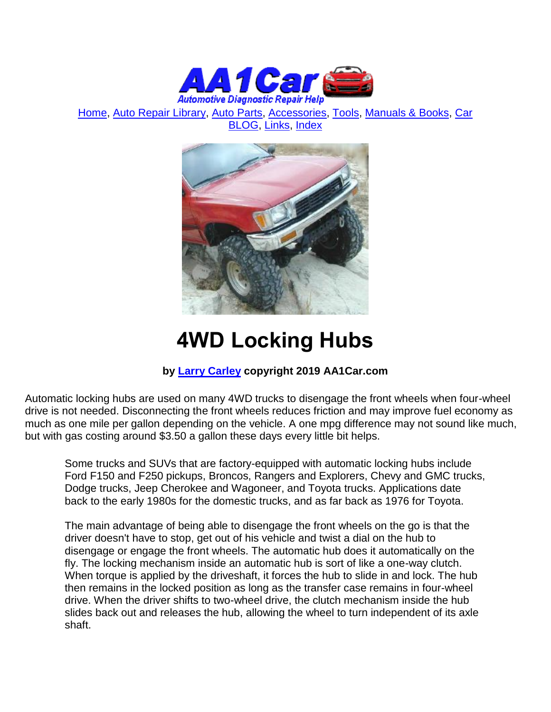

[Home,](http://www.aa1car.com/) [Auto Repair Library,](http://www.aa1car.com/library.htm) [Auto Parts,](http://www.aa1car.com/links_parts.htm) [Accessories,](http://www.aa1car.com/links_accessories.htm) [Tools,](http://www.aa1car.com/links_tools.htm) [Manuals & Books,](http://www.aa1car.com/links_books.htm) [Car](http://www.aa1car.com/blog/blog.htm)  [BLOG,](http://www.aa1car.com/blog/blog.htm) [Links,](http://www.aa1car.com/links.htm) [Index](http://www.aa1car.com/index_alphabetical.htm)



# **4WD Locking Hubs**

## **by [Larry Carley](https://www.aa1car.com/larrypage/larrycarley_photos.htm) copyright 2019 AA1Car.com**

Automatic locking hubs are used on many 4WD trucks to disengage the front wheels when four-wheel drive is not needed. Disconnecting the front wheels reduces friction and may improve fuel economy as much as one mile per gallon depending on the vehicle. A one mpg difference may not sound like much, but with gas costing around \$3.50 a gallon these days every little bit helps.

Some trucks and SUVs that are factory-equipped with automatic locking hubs include Ford F150 and F250 pickups, Broncos, Rangers and Explorers, Chevy and GMC trucks, Dodge trucks, Jeep Cherokee and Wagoneer, and Toyota trucks. Applications date back to the early 1980s for the domestic trucks, and as far back as 1976 for Toyota.

The main advantage of being able to disengage the front wheels on the go is that the driver doesn't have to stop, get out of his vehicle and twist a dial on the hub to disengage or engage the front wheels. The automatic hub does it automatically on the fly. The locking mechanism inside an automatic hub is sort of like a one-way clutch. When torque is applied by the driveshaft, it forces the hub to slide in and lock. The hub then remains in the locked position as long as the transfer case remains in four-wheel drive. When the driver shifts to two-wheel drive, the clutch mechanism inside the hub slides back out and releases the hub, allowing the wheel to turn independent of its axle shaft.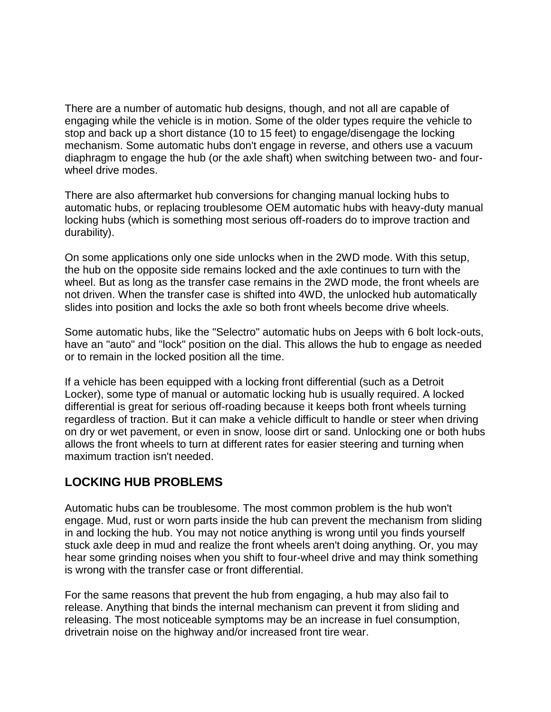There are a number of automatic hub designs, though, and not all are capable of engaging while the vehicle is in motion. Some of the older types require the vehicle to stop and back up a short distance (10 to 15 feet) to engage/disengage the locking mechanism. Some automatic hubs don't engage in reverse, and others use a vacuum diaphragm to engage the hub (or the axle shaft) when switching between two- and fourwheel drive modes.

There are also aftermarket hub conversions for changing manual locking hubs to automatic hubs, or replacing troublesome OEM automatic hubs with heavy-duty manual locking hubs (which is something most serious off-roaders do to improve traction and durability).

On some applications only one side unlocks when in the 2WD mode. With this setup, the hub on the opposite side remains locked and the axle continues to turn with the wheel. But as long as the transfer case remains in the 2WD mode, the front wheels are not driven. When the transfer case is shifted into 4WD, the unlocked hub automatically slides into position and locks the axle so both front wheels become drive wheels.

Some automatic hubs, like the "Selectro" automatic hubs on Jeeps with 6 bolt lock-outs, have an "auto" and "lock" position on the dial. This allows the hub to engage as needed or to remain in the locked position all the time.

If a vehicle has been equipped with a locking front differential (such as a Detroit Locker), some type of manual or automatic locking hub is usually required. A locked differential is great for serious off-roading because it keeps both front wheels turning regardless of traction. But it can make a vehicle difficult to handle or steer when driving on dry or wet pavement, or even in snow, loose dirt or sand. Unlocking one or both hubs allows the front wheels to turn at different rates for easier steering and turning when maximum traction isn't needed.

## **LOCKING HUB PROBLEMS**

Automatic hubs can be troublesome. The most common problem is the hub won't engage. Mud, rust or worn parts inside the hub can prevent the mechanism from sliding in and locking the hub. You may not notice anything is wrong until you finds yourself stuck axle deep in mud and realize the front wheels aren't doing anything. Or, you may hear some grinding noises when you shift to four-wheel drive and may think something is wrong with the transfer case or front differential.

For the same reasons that prevent the hub from engaging, a hub may also fail to release. Anything that binds the internal mechanism can prevent it from sliding and releasing. The most noticeable symptoms may be an increase in fuel consumption, drivetrain noise on the highway and/or increased front tire wear.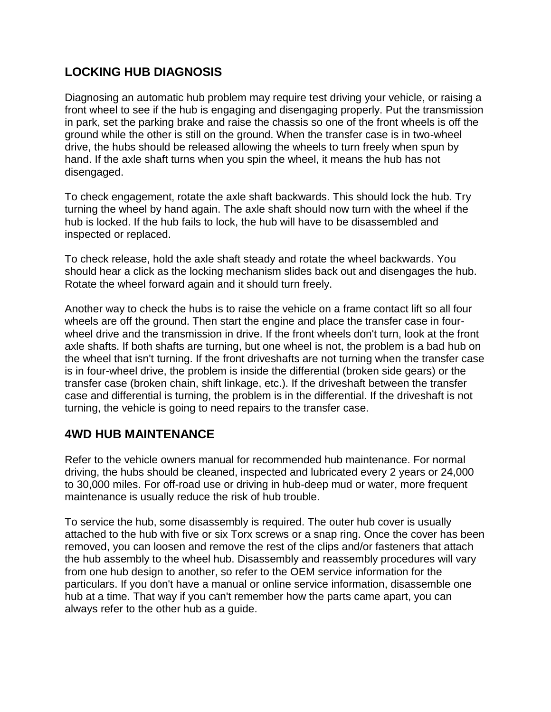# **LOCKING HUB DIAGNOSIS**

Diagnosing an automatic hub problem may require test driving your vehicle, or raising a front wheel to see if the hub is engaging and disengaging properly. Put the transmission in park, set the parking brake and raise the chassis so one of the front wheels is off the ground while the other is still on the ground. When the transfer case is in two-wheel drive, the hubs should be released allowing the wheels to turn freely when spun by hand. If the axle shaft turns when you spin the wheel, it means the hub has not disengaged.

To check engagement, rotate the axle shaft backwards. This should lock the hub. Try turning the wheel by hand again. The axle shaft should now turn with the wheel if the hub is locked. If the hub fails to lock, the hub will have to be disassembled and inspected or replaced.

To check release, hold the axle shaft steady and rotate the wheel backwards. You should hear a click as the locking mechanism slides back out and disengages the hub. Rotate the wheel forward again and it should turn freely.

Another way to check the hubs is to raise the vehicle on a frame contact lift so all four wheels are off the ground. Then start the engine and place the transfer case in fourwheel drive and the transmission in drive. If the front wheels don't turn, look at the front axle shafts. If both shafts are turning, but one wheel is not, the problem is a bad hub on the wheel that isn't turning. If the front driveshafts are not turning when the transfer case is in four-wheel drive, the problem is inside the differential (broken side gears) or the transfer case (broken chain, shift linkage, etc.). If the driveshaft between the transfer case and differential is turning, the problem is in the differential. If the driveshaft is not turning, the vehicle is going to need repairs to the transfer case.

# **4WD HUB MAINTENANCE**

Refer to the vehicle owners manual for recommended hub maintenance. For normal driving, the hubs should be cleaned, inspected and lubricated every 2 years or 24,000 to 30,000 miles. For off-road use or driving in hub-deep mud or water, more frequent maintenance is usually reduce the risk of hub trouble.

To service the hub, some disassembly is required. The outer hub cover is usually attached to the hub with five or six Torx screws or a snap ring. Once the cover has been removed, you can loosen and remove the rest of the clips and/or fasteners that attach the hub assembly to the wheel hub. Disassembly and reassembly procedures will vary from one hub design to another, so refer to the OEM service information for the particulars. If you don't have a manual or online service information, disassemble one hub at a time. That way if you can't remember how the parts came apart, you can always refer to the other hub as a guide.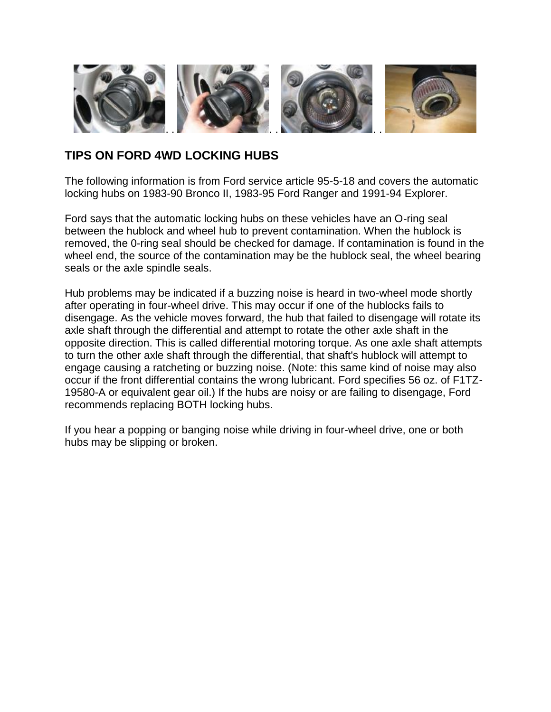

#### **TIPS ON FORD 4WD LOCKING HUBS**

The following information is from Ford service article 95-5-18 and covers the automatic locking hubs on 1983-90 Bronco II, 1983-95 Ford Ranger and 1991-94 Explorer.

Ford says that the automatic locking hubs on these vehicles have an O-ring seal between the hublock and wheel hub to prevent contamination. When the hublock is removed, the 0-ring seal should be checked for damage. If contamination is found in the wheel end, the source of the contamination may be the hublock seal, the wheel bearing seals or the axle spindle seals.

Hub problems may be indicated if a buzzing noise is heard in two-wheel mode shortly after operating in four-wheel drive. This may occur if one of the hublocks fails to disengage. As the vehicle moves forward, the hub that failed to disengage will rotate its axle shaft through the differential and attempt to rotate the other axle shaft in the opposite direction. This is called differential motoring torque. As one axle shaft attempts to turn the other axle shaft through the differential, that shaft's hublock will attempt to engage causing a ratcheting or buzzing noise. (Note: this same kind of noise may also occur if the front differential contains the wrong lubricant. Ford specifies 56 oz. of F1TZ-19580-A or equivalent gear oil.) If the hubs are noisy or are failing to disengage, Ford recommends replacing BOTH locking hubs.

If you hear a popping or banging noise while driving in four-wheel drive, one or both hubs may be slipping or broken.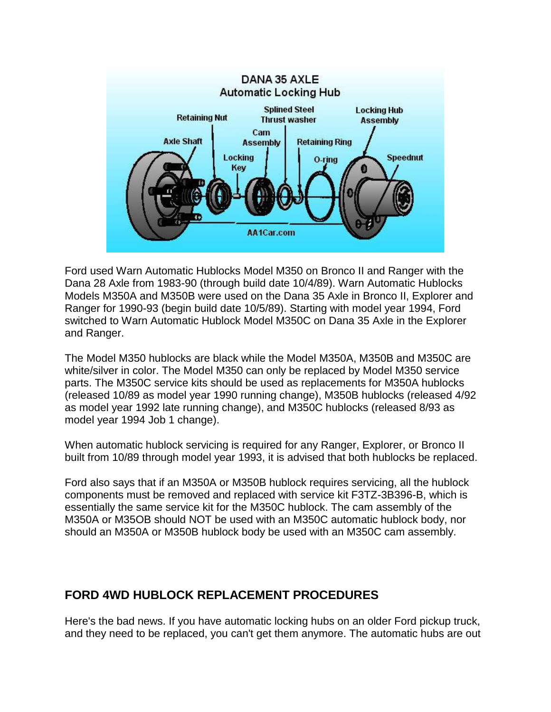

Ford used Warn Automatic Hublocks Model M350 on Bronco II and Ranger with the Dana 28 Axle from 1983-90 (through build date 10/4/89). Warn Automatic Hublocks Models M350A and M350B were used on the Dana 35 Axle in Bronco II, Explorer and Ranger for 1990-93 (begin build date 10/5/89). Starting with model year 1994, Ford switched to Warn Automatic Hublock Model M350C on Dana 35 Axle in the Explorer and Ranger.

The Model M350 hublocks are black while the Model M350A, M350B and M350C are white/silver in color. The Model M350 can only be replaced by Model M350 service parts. The M350C service kits should be used as replacements for M350A hublocks (released 10/89 as model year 1990 running change), M350B hublocks (released 4/92 as model year 1992 late running change), and M350C hublocks (released 8/93 as model year 1994 Job 1 change).

When automatic hublock servicing is required for any Ranger, Explorer, or Bronco II built from 10/89 through model year 1993, it is advised that both hublocks be replaced.

Ford also says that if an M350A or M350B hublock requires servicing, all the hublock components must be removed and replaced with service kit F3TZ-3B396-B, which is essentially the same service kit for the M350C hublock. The cam assembly of the M350A or M35OB should NOT be used with an M350C automatic hublock body, nor should an M350A or M350B hublock body be used with an M350C cam assembly.

## **FORD 4WD HUBLOCK REPLACEMENT PROCEDURES**

Here's the bad news. If you have automatic locking hubs on an older Ford pickup truck, and they need to be replaced, you can't get them anymore. The automatic hubs are out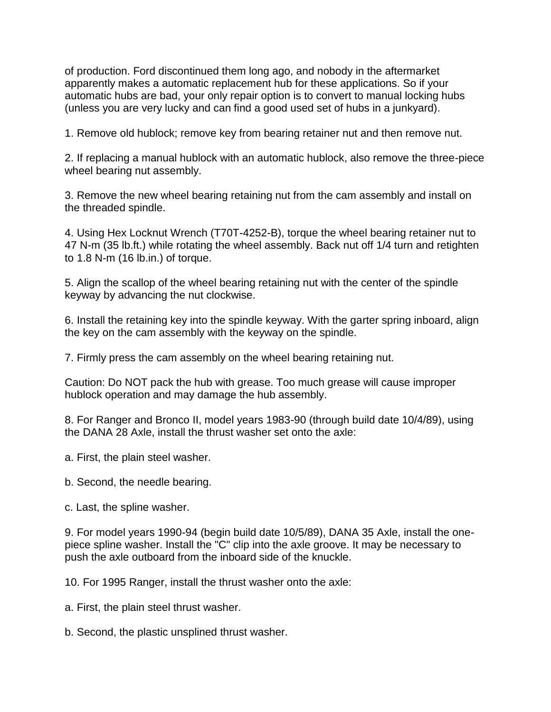of production. Ford discontinued them long ago, and nobody in the aftermarket apparently makes a automatic replacement hub for these applications. So if your automatic hubs are bad, your only repair option is to convert to manual locking hubs (unless you are very lucky and can find a good used set of hubs in a junkyard).

1. Remove old hublock; remove key from bearing retainer nut and then remove nut.

2. If replacing a manual hublock with an automatic hublock, also remove the three-piece wheel bearing nut assembly.

3. Remove the new wheel bearing retaining nut from the cam assembly and install on the threaded spindle.

4. Using Hex Locknut Wrench (T70T-4252-B), torque the wheel bearing retainer nut to 47 N-m (35 lb.ft.) while rotating the wheel assembly. Back nut off 1/4 turn and retighten to 1.8 N-m (16 lb.in.) of torque.

5. Align the scallop of the wheel bearing retaining nut with the center of the spindle keyway by advancing the nut clockwise.

6. Install the retaining key into the spindle keyway. With the garter spring inboard, align the key on the cam assembly with the keyway on the spindle.

7. Firmly press the cam assembly on the wheel bearing retaining nut.

Caution: Do NOT pack the hub with grease. Too much grease will cause improper hublock operation and may damage the hub assembly.

8. For Ranger and Bronco II, model years 1983-90 (through build date 10/4/89), using the DANA 28 Axle, install the thrust washer set onto the axle:

- a. First, the plain steel washer.
- b. Second, the needle bearing.
- c. Last, the spline washer.

9. For model years 1990-94 (begin build date 10/5/89), DANA 35 Axle, install the onepiece spline washer. Install the "C" clip into the axle groove. It may be necessary to push the axle outboard from the inboard side of the knuckle.

10. For 1995 Ranger, install the thrust washer onto the axle:

a. First, the plain steel thrust washer.

b. Second, the plastic unsplined thrust washer.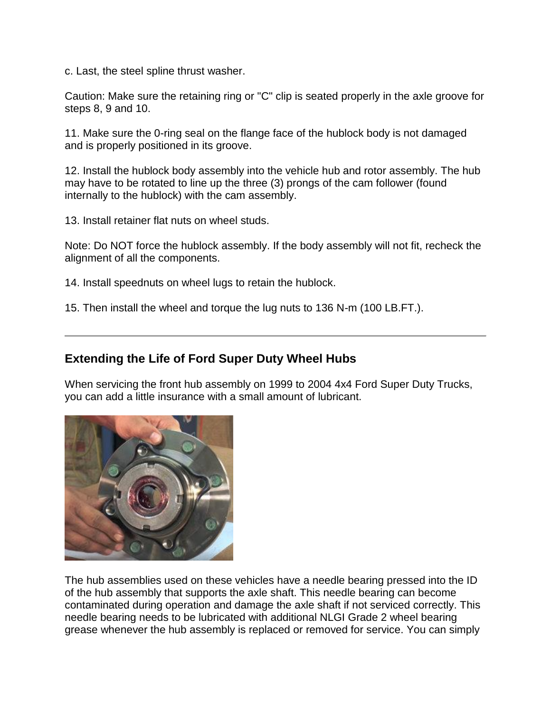c. Last, the steel spline thrust washer.

Caution: Make sure the retaining ring or "C" clip is seated properly in the axle groove for steps 8, 9 and 10.

11. Make sure the 0-ring seal on the flange face of the hublock body is not damaged and is properly positioned in its groove.

12. Install the hublock body assembly into the vehicle hub and rotor assembly. The hub may have to be rotated to line up the three (3) prongs of the cam follower (found internally to the hublock) with the cam assembly.

13. Install retainer flat nuts on wheel studs.

Note: Do NOT force the hublock assembly. If the body assembly will not fit, recheck the alignment of all the components.

14. Install speednuts on wheel lugs to retain the hublock.

15. Then install the wheel and torque the lug nuts to 136 N-m (100 LB.FT.).

# **Extending the Life of Ford Super Duty Wheel Hubs**

When servicing the front hub assembly on 1999 to 2004 4x4 Ford Super Duty Trucks, you can add a little insurance with a small amount of lubricant.



The hub assemblies used on these vehicles have a needle bearing pressed into the ID of the hub assembly that supports the axle shaft. This needle bearing can become contaminated during operation and damage the axle shaft if not serviced correctly. This needle bearing needs to be lubricated with additional NLGI Grade 2 wheel bearing grease whenever the hub assembly is replaced or removed for service. You can simply